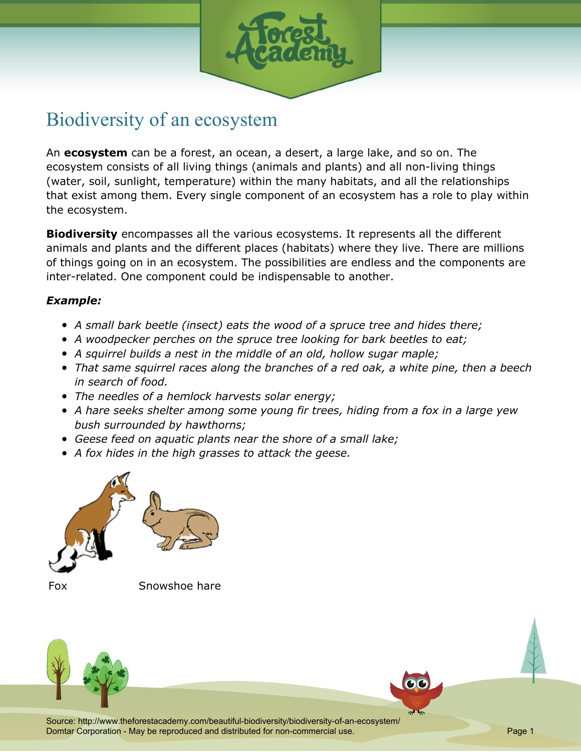

## Biodiversity of an ecosystem

An **ecosystem** can be a forest, an ocean, a desert, a large lake, and so on. The ecosystem consists of all living things (animals and plants) and all non-living things (water, soil, sunlight, temperature) within the many habitats, and all the relationships that exist among them. Every single component of an ecosystem has a role to play within the ecosystem.

**Biodiversity** encompasses all the various ecosystems. It represents all the different animals and plants and the different places (habitats) where they live. There are millions of things going on in an ecosystem. The possibilities are endless and the components are inter-related. One component could be indispensable to another.

## *Example:*

- *A small bark beetle (insect) eats the wood of a spruce tree and hides there;*
- *A woodpecker perches on the spruce tree looking for bark beetles to eat;*
- *A squirrel builds a nest in the middle of an old, hollow sugar maple;*
- *That same squirrel races along the branches of a red oak, a white pine, then a beech in search of food.*
- *The needles of a hemlock harvests solar energy;*
- *A hare seeks shelter among some young fir trees, hiding from a fox in a large yew bush surrounded by hawthorns;*
- *Geese feed on aquatic plants near the shore of a small lake;*
- *A fox hides in the high grasses to attack the geese.*





Fox Snowshoe hare



Source: http://www.theforestacademy.com/beautiful-biodiversity/biodiversity-of-an-ecosystem/ Domtar Corporation - May be reproduced and distributed for non-commercial use. Page 1